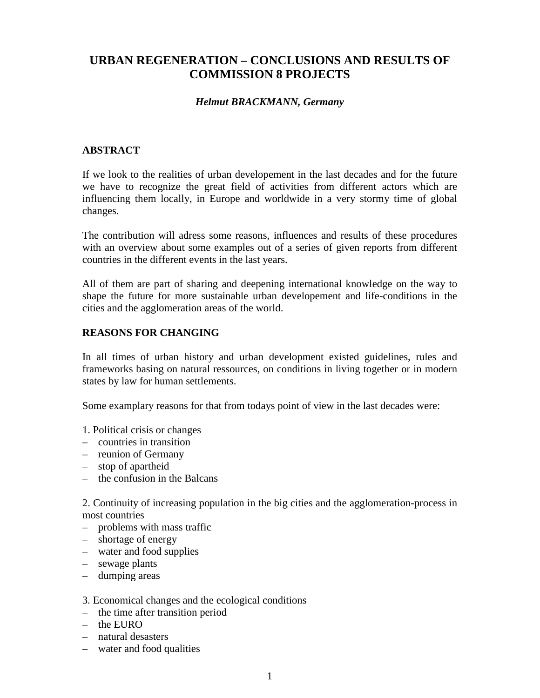# **URBAN REGENERATION – CONCLUSIONS AND RESULTS OF COMMISSION 8 PROJECTS**

### *Helmut BRACKMANN, Germany*

# **ABSTRACT**

If we look to the realities of urban developement in the last decades and for the future we have to recognize the great field of activities from different actors which are influencing them locally, in Europe and worldwide in a very stormy time of global changes.

The contribution will adress some reasons, influences and results of these procedures with an overview about some examples out of a series of given reports from different countries in the different events in the last years.

All of them are part of sharing and deepening international knowledge on the way to shape the future for more sustainable urban developement and life-conditions in the cities and the agglomeration areas of the world.

### **REASONS FOR CHANGING**

In all times of urban history and urban development existed guidelines, rules and frameworks basing on natural ressources, on conditions in living together or in modern states by law for human settlements.

Some examplary reasons for that from todays point of view in the last decades were:

- 1. Political crisis or changes
- countries in transition
- reunion of Germany
- stop of apartheid
- the confusion in the Balcans

2. Continuity of increasing population in the big cities and the agglomeration-process in most countries

- problems with mass traffic
- shortage of energy
- water and food supplies
- sewage plants
- dumping areas

#### 3. Economical changes and the ecological conditions

- the time after transition period
- the EURO
- natural desasters
- water and food qualities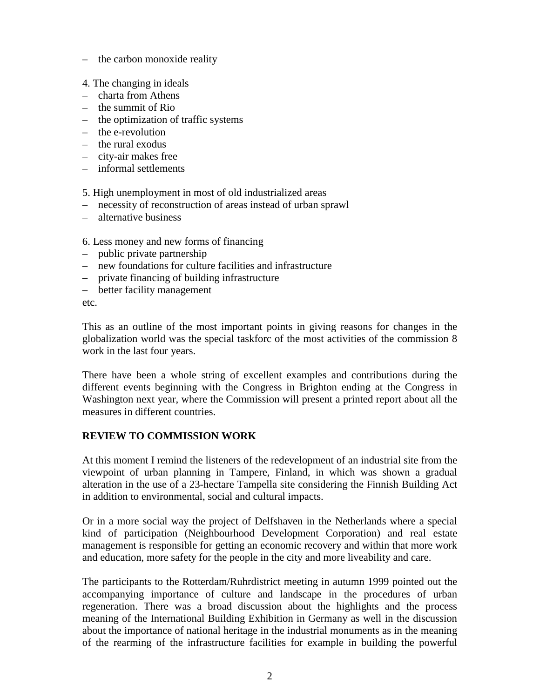- the carbon monoxide reality
- 4. The changing in ideals
- charta from Athens
- the summit of Rio
- the optimization of traffic systems
- the e-revolution
- the rural exodus
- city-air makes free
- informal settlements

5. High unemployment in most of old industrialized areas

- necessity of reconstruction of areas instead of urban sprawl
- alternative business

6. Less money and new forms of financing

- public private partnership
- new foundations for culture facilities and infrastructure
- private financing of building infrastructure
- better facility management

etc.

This as an outline of the most important points in giving reasons for changes in the globalization world was the special taskforc of the most activities of the commission 8 work in the last four years.

There have been a whole string of excellent examples and contributions during the different events beginning with the Congress in Brighton ending at the Congress in Washington next year, where the Commission will present a printed report about all the measures in different countries.

### **REVIEW TO COMMISSION WORK**

At this moment I remind the listeners of the redevelopment of an industrial site from the viewpoint of urban planning in Tampere, Finland, in which was shown a gradual alteration in the use of a 23-hectare Tampella site considering the Finnish Building Act in addition to environmental, social and cultural impacts.

Or in a more social way the project of Delfshaven in the Netherlands where a special kind of participation (Neighbourhood Development Corporation) and real estate management is responsible for getting an economic recovery and within that more work and education, more safety for the people in the city and more liveability and care.

The participants to the Rotterdam/Ruhrdistrict meeting in autumn 1999 pointed out the accompanying importance of culture and landscape in the procedures of urban regeneration. There was a broad discussion about the highlights and the process meaning of the International Building Exhibition in Germany as well in the discussion about the importance of national heritage in the industrial monuments as in the meaning of the rearming of the infrastructure facilities for example in building the powerful